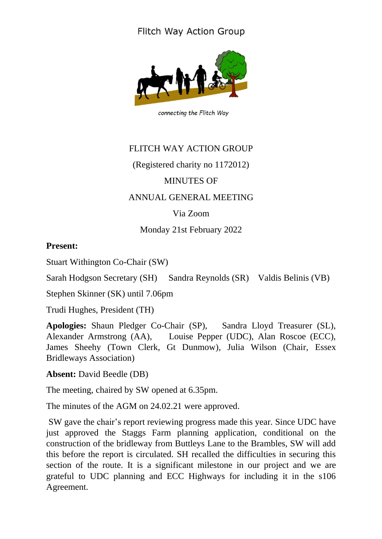## **Flitch Way Action Group**



connecting the Flitch Way

## FLITCH WAY ACTION GROUP (Registered charity no 1172012) MINUTES OF ANNUAL GENERAL MEETING Via Zoom Monday 21st February 2022

## **Present:**

Stuart Withington Co-Chair (SW)

Sarah Hodgson Secretary (SH) Sandra Reynolds (SR) Valdis Belinis (VB)

Stephen Skinner (SK) until 7.06pm

Trudi Hughes, President (TH)

**Apologies:** Shaun Pledger Co-Chair (SP), Sandra Lloyd Treasurer (SL), Alexander Armstrong (AA), Louise Pepper (UDC), Alan Roscoe (ECC), James Sheehy (Town Clerk, Gt Dunmow), Julia Wilson (Chair, Essex Bridleways Association)

**Absent:** David Beedle (DB)

The meeting, chaired by SW opened at 6.35pm.

The minutes of the AGM on 24.02.21 were approved.

SW gave the chair's report reviewing progress made this year. Since UDC have just approved the Staggs Farm planning application, conditional on the construction of the bridleway from Buttleys Lane to the Brambles, SW will add this before the report is circulated. SH recalled the difficulties in securing this section of the route. It is a significant milestone in our project and we are grateful to UDC planning and ECC Highways for including it in the s106 Agreement.